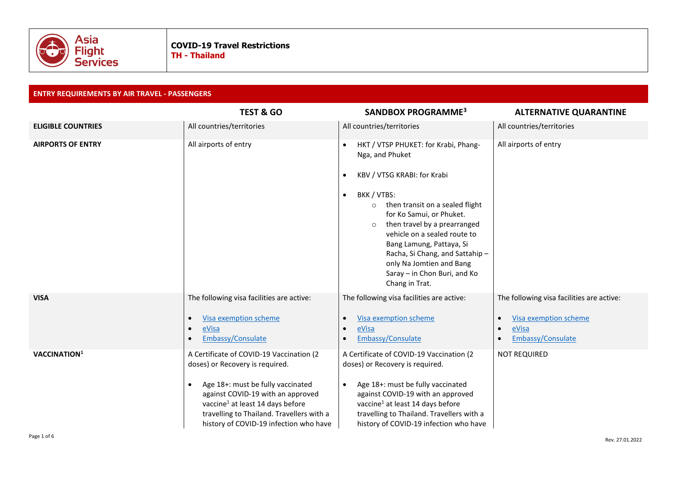

# **ENTRY REQUIREMENTS BY AIR TRAVEL - PASSENGERS**

|                           | <b>TEST &amp; GO</b>                                                                                                                                                                                                                                                                                      | SANDBOX PROGRAMME <sup>3</sup>                                                                                                                                                                                                                                                                                                                                                                                                   | <b>ALTERNATIVE QUARANTINE</b>                                                                                 |
|---------------------------|-----------------------------------------------------------------------------------------------------------------------------------------------------------------------------------------------------------------------------------------------------------------------------------------------------------|----------------------------------------------------------------------------------------------------------------------------------------------------------------------------------------------------------------------------------------------------------------------------------------------------------------------------------------------------------------------------------------------------------------------------------|---------------------------------------------------------------------------------------------------------------|
| <b>ELIGIBLE COUNTRIES</b> | All countries/territories                                                                                                                                                                                                                                                                                 | All countries/territories                                                                                                                                                                                                                                                                                                                                                                                                        | All countries/territories                                                                                     |
| <b>AIRPORTS OF ENTRY</b>  | All airports of entry                                                                                                                                                                                                                                                                                     | HKT / VTSP PHUKET: for Krabi, Phang-<br>$\bullet$<br>Nga, and Phuket<br>KBV / VTSG KRABI: for Krabi<br>BKK / VTBS:<br>$\bullet$<br>then transit on a sealed flight<br>$\circ$<br>for Ko Samui, or Phuket.<br>then travel by a prearranged<br>$\circ$<br>vehicle on a sealed route to<br>Bang Lamung, Pattaya, Si<br>Racha, Si Chang, and Sattahip-<br>only Na Jomtien and Bang<br>Saray - in Chon Buri, and Ko<br>Chang in Trat. | All airports of entry                                                                                         |
| <b>VISA</b>               | The following visa facilities are active:<br>Visa exemption scheme<br>$\bullet$<br>eVisa<br>$\bullet$<br>Embassy/Consulate                                                                                                                                                                                | The following visa facilities are active:<br>Visa exemption scheme<br>$\bullet$<br>eVisa<br>$\bullet$<br>Embassy/Consulate                                                                                                                                                                                                                                                                                                       | The following visa facilities are active:<br>Visa exemption scheme<br>$\bullet$<br>eVisa<br>Embassy/Consulate |
| VACCINATION <sup>1</sup>  | A Certificate of COVID-19 Vaccination (2<br>doses) or Recovery is required.<br>Age 18+: must be fully vaccinated<br>$\bullet$<br>against COVID-19 with an approved<br>vaccine <sup>1</sup> at least 14 days before<br>travelling to Thailand. Travellers with a<br>history of COVID-19 infection who have | A Certificate of COVID-19 Vaccination (2<br>doses) or Recovery is required.<br>Age 18+: must be fully vaccinated<br>$\bullet$<br>against COVID-19 with an approved<br>vaccine <sup>1</sup> at least 14 days before<br>travelling to Thailand. Travellers with a<br>history of COVID-19 infection who have                                                                                                                        | <b>NOT REQUIRED</b>                                                                                           |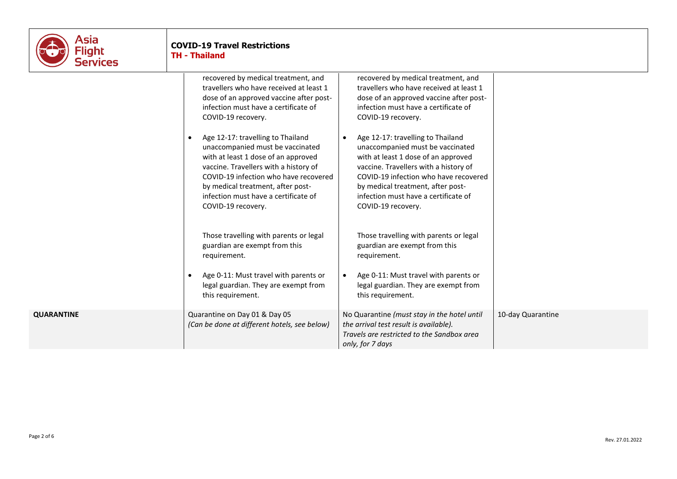

# **COVID-19 Travel Restrictions TH - Thailand**

recovered by medical treatment, and travellers who have received at least 1 dose of an approved vaccine after postinfection must have a certificate of COVID-19 recovery. • Age 12-17: travelling to Thailand unaccompanied must be vaccinated

with at least 1 dose of an approved vaccine. Travellers with a history of COVID-19 infection who have recovered by medical treatment, after postinfection must have a certificate of COVID-19 recovery.

Those travelling with parents or legal guardian are exempt from this requirement.

• Age 0-11: Must travel with parents or legal guardian. They are exempt from this requirement.

**QUARANTINE** Quarantine on Day 01 & Day 05 *(Can be done at different hotels, see below)* recovered by medical treatment, and travellers who have received at least 1 dose of an approved vaccine after postinfection must have a certificate of COVID-19 recovery.

• Age 12-17: travelling to Thailand unaccompanied must be vaccinated with at least 1 dose of an approved vaccine. Travellers with a history of COVID-19 infection who have recovered by medical treatment, after postinfection must have a certificate of COVID-19 recovery.

Those travelling with parents or legal guardian are exempt from this requirement.

• Age 0-11: Must travel with parents or legal guardian. They are exempt from this requirement.

No Quarantine *(must stay in the hotel until the arrival test result is available). Travels are restricted to the Sandbox area only, for 7 days*

10-day Quarantine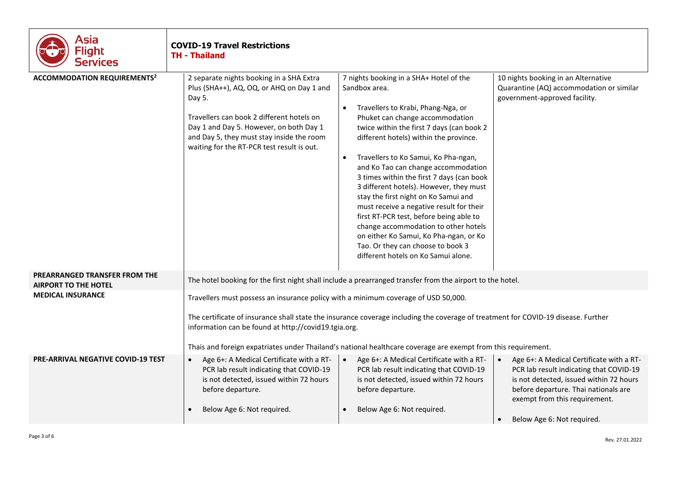| Asia<br>Flight<br>Services                                   | <b>COVID-19 Travel Restrictions</b><br><b>TH - Thailand</b>                                                                                                                                                                                                                                                                                                                                      |                                                                                                                                                                                                                                                                                                                                                                                                                                                                                                                                                                                                                                                                                                                        |                                                                                                                                                                                                                                       |  |
|--------------------------------------------------------------|--------------------------------------------------------------------------------------------------------------------------------------------------------------------------------------------------------------------------------------------------------------------------------------------------------------------------------------------------------------------------------------------------|------------------------------------------------------------------------------------------------------------------------------------------------------------------------------------------------------------------------------------------------------------------------------------------------------------------------------------------------------------------------------------------------------------------------------------------------------------------------------------------------------------------------------------------------------------------------------------------------------------------------------------------------------------------------------------------------------------------------|---------------------------------------------------------------------------------------------------------------------------------------------------------------------------------------------------------------------------------------|--|
| <b>ACCOMMODATION REQUIREMENTS<sup>2</sup></b>                | 2 separate nights booking in a SHA Extra<br>Plus (SHA++), AQ, OQ, or AHQ on Day 1 and<br>Day 5.<br>Travellers can book 2 different hotels on<br>Day 1 and Day 5. However, on both Day 1<br>and Day 5, they must stay inside the room<br>waiting for the RT-PCR test result is out.                                                                                                               | 7 nights booking in a SHA+ Hotel of the<br>Sandbox area.<br>Travellers to Krabi, Phang-Nga, or<br>$\bullet$<br>Phuket can change accommodation<br>twice within the first 7 days (can book 2<br>different hotels) within the province.<br>Travellers to Ko Samui, Ko Pha-ngan,<br>$\bullet$<br>and Ko Tao can change accommodation<br>3 times within the first 7 days (can book<br>3 different hotels). However, they must<br>stay the first night on Ko Samui and<br>must receive a negative result for their<br>first RT-PCR test, before being able to<br>change accommodation to other hotels<br>on either Ko Samui, Ko Pha-ngan, or Ko<br>Tao. Or they can choose to book 3<br>different hotels on Ko Samui alone. | 10 nights booking in an Alternative<br>Quarantine (AQ) accommodation or similar<br>government-approved facility.                                                                                                                      |  |
| PREARRANGED TRANSFER FROM THE<br><b>AIRPORT TO THE HOTEL</b> |                                                                                                                                                                                                                                                                                                                                                                                                  | The hotel booking for the first night shall include a prearranged transfer from the airport to the hotel.                                                                                                                                                                                                                                                                                                                                                                                                                                                                                                                                                                                                              |                                                                                                                                                                                                                                       |  |
| <b>MEDICAL INSURANCE</b>                                     | Travellers must possess an insurance policy with a minimum coverage of USD 50,000.<br>The certificate of insurance shall state the insurance coverage including the coverage of treatment for COVID-19 disease. Further<br>information can be found at http://covid19.tgia.org.<br>Thais and foreign expatriates under Thailand's national healthcare coverage are exempt from this requirement. |                                                                                                                                                                                                                                                                                                                                                                                                                                                                                                                                                                                                                                                                                                                        |                                                                                                                                                                                                                                       |  |
| <b>PRE-ARRIVAL NEGATIVE COVID-19 TEST</b>                    | Age 6+: A Medical Certificate with a RT-<br>$\bullet$<br>PCR lab result indicating that COVID-19<br>is not detected, issued within 72 hours<br>before departure.<br>Below Age 6: Not required.<br>$\bullet$                                                                                                                                                                                      | Age 6+: A Medical Certificate with a RT-<br>$\bullet$<br>PCR lab result indicating that COVID-19<br>is not detected, issued within 72 hours<br>before departure.<br>Below Age 6: Not required.                                                                                                                                                                                                                                                                                                                                                                                                                                                                                                                         | Age 6+: A Medical Certificate with a RT-<br>PCR lab result indicating that COVID-19<br>is not detected, issued within 72 hours<br>before departure. Thai nationals are<br>exempt from this requirement.<br>Below Age 6: Not required. |  |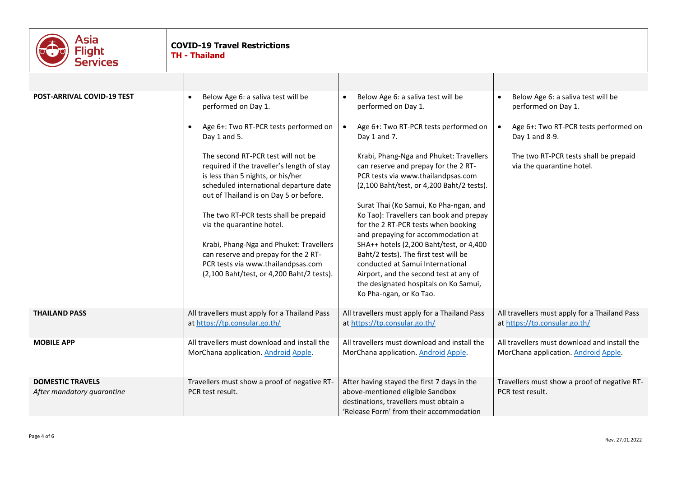| Asia<br>Flight<br>Services                            | <b>COVID-19 Travel Restrictions</b><br><b>TH - Thailand</b>                                                                                                                                               |                                                                                                                                                                                                                                          |
|-------------------------------------------------------|-----------------------------------------------------------------------------------------------------------------------------------------------------------------------------------------------------------|------------------------------------------------------------------------------------------------------------------------------------------------------------------------------------------------------------------------------------------|
|                                                       |                                                                                                                                                                                                           |                                                                                                                                                                                                                                          |
| <b>POST-ARRIVAL COVID-19 TEST</b>                     | Below Age 6: a saliva test will be<br>$\bullet$<br>$\bullet$<br>performed on Day 1.<br>performed on Day 1.                                                                                                | Below Age 6: a saliva test will be<br>Below Age 6: a saliva test will be<br>performed on Day 1.                                                                                                                                          |
|                                                       | Age 6+: Two RT-PCR tests performed on<br>$\bullet$<br>$\bullet$<br>Day 1 and 7.<br>Day 1 and 5.                                                                                                           | Age 6+: Two RT-PCR tests performed on<br>Age 6+: Two RT-PCR tests performed on<br>Day 1 and 8-9.                                                                                                                                         |
|                                                       | The second RT-PCR test will not be<br>required if the traveller's length of stay<br>is less than 5 nights, or his/her<br>scheduled international departure date<br>out of Thailand is on Day 5 or before. | Krabi, Phang-Nga and Phuket: Travellers<br>The two RT-PCR tests shall be prepaid<br>can reserve and prepay for the 2 RT-<br>via the quarantine hotel.<br>PCR tests via www.thailandpsas.com<br>(2,100 Baht/test, or 4,200 Baht/2 tests). |
|                                                       | The two RT-PCR tests shall be prepaid<br>via the quarantine hotel.                                                                                                                                        | Surat Thai (Ko Samui, Ko Pha-ngan, and<br>Ko Tao): Travellers can book and prepay<br>for the 2 RT-PCR tests when booking<br>and prepaying for accommodation at                                                                           |
|                                                       | Krabi, Phang-Nga and Phuket: Travellers<br>can reserve and prepay for the 2 RT-<br>PCR tests via www.thailandpsas.com<br>(2,100 Baht/test, or 4,200 Baht/2 tests).<br>Ko Pha-ngan, or Ko Tao.             | SHA++ hotels (2,200 Baht/test, or 4,400<br>Baht/2 tests). The first test will be<br>conducted at Samui International<br>Airport, and the second test at any of<br>the designated hospitals on Ko Samui,                                  |
| <b>THAILAND PASS</b>                                  | All travellers must apply for a Thailand Pass<br>at https://tp.consular.go.th/<br>at https://tp.consular.go.th/                                                                                           | All travellers must apply for a Thailand Pass<br>All travellers must apply for a Thailand Pass<br>at https://tp.consular.go.th/                                                                                                          |
| <b>MOBILE APP</b>                                     | All travellers must download and install the<br>MorChana application. Android Apple.<br>MorChana application. Android Apple.                                                                              | All travellers must download and install the<br>All travellers must download and install the<br>MorChana application. Android Apple.                                                                                                     |
| <b>DOMESTIC TRAVELS</b><br>After mandatory quarantine | Travellers must show a proof of negative RT-<br>above-mentioned eligible Sandbox<br>PCR test result.<br>destinations, travellers must obtain a                                                            | Travellers must show a proof of negative RT-<br>After having stayed the first 7 days in the<br>PCR test result.<br>'Release Form' from their accommodation                                                                               |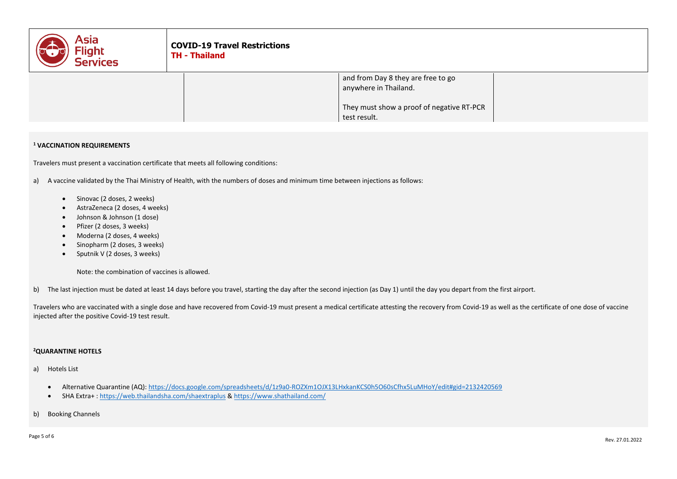| <b>Asia</b><br>Flight<br><b>Services</b> | <b>COVID-19 Travel Restrictions</b><br><b>TH - Thailand</b> |                                                                                                                          |  |
|------------------------------------------|-------------------------------------------------------------|--------------------------------------------------------------------------------------------------------------------------|--|
|                                          |                                                             | and from Day 8 they are free to go<br>anywhere in Thailand.<br>They must show a proof of negative RT-PCR<br>test result. |  |

### **<sup>1</sup> VACCINATION REQUIREMENTS**

Travelers must present a vaccination certificate that meets all following conditions:

a) A vaccine validated by the Thai Ministry of Health, with the numbers of doses and minimum time between injections as follows:

- Sinovac (2 doses, 2 weeks)
- AstraZeneca (2 doses, 4 weeks)
- Johnson & Johnson (1 dose)
- Pfizer (2 doses, 3 weeks)
- Moderna (2 doses, 4 weeks)
- Sinopharm (2 doses, 3 weeks)
- Sputnik V (2 doses, 3 weeks)

Note: the combination of vaccines is allowed.

b) The last injection must be dated at least 14 days before you travel, starting the day after the second injection (as Day 1) until the day you depart from the first airport.

Travelers who are vaccinated with a single dose and have recovered from Covid-19 must present a medical certificate attesting the recovery from Covid-19 as well as the certificate of one dose of vaccine injected after the positive Covid-19 test result.

#### **<sup>2</sup>QUARANTINE HOTELS**

- a) Hotels List
	- Alternative Quarantine (AQ):<https://docs.google.com/spreadsheets/d/1z9a0-ROZXm1OJX13LHxkanKCS0h5O60sCfhx5LuMHoY/edit#gid=2132420569>
	- SHA Extra+ [: https://web.thailandsha.com/shaextraplus](https://web.thailandsha.com/shaextraplus) &<https://www.shathailand.com/>
- b) Booking Channels